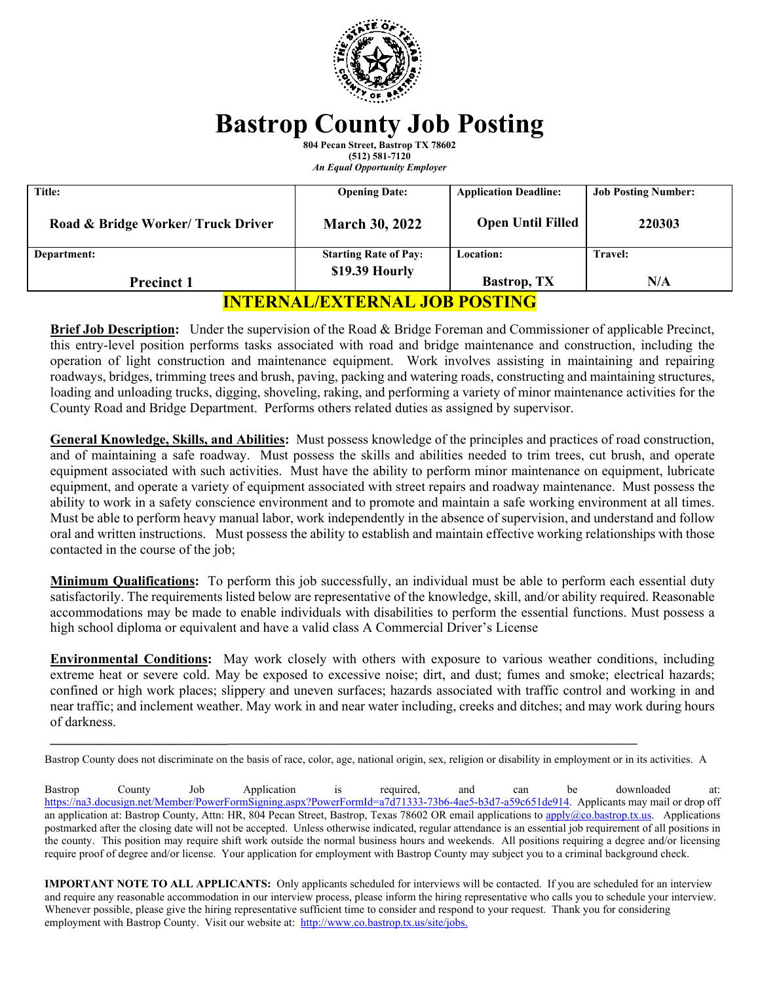

# **Bastrop County Job Posting**

**804 Pecan Street, Bastrop TX 78602 (512) 581-7120** 

*An Equal Opportunity Employer* 

| <b>Title:</b>                      | <b>Opening Date:</b>         | <b>Application Deadline:</b> | <b>Job Posting Number:</b> |
|------------------------------------|------------------------------|------------------------------|----------------------------|
| Road & Bridge Worker/ Truck Driver | <b>March 30, 2022</b>        | <b>Open Until Filled</b>     | 220303                     |
| Department:                        | <b>Starting Rate of Pay:</b> | <b>Location:</b>             | <b>Travel:</b>             |
| <b>Precinct 1</b>                  | \$19.39 Hourly               | <b>Bastrop</b> , TX          | N/A                        |

## **INTERNAL/EXTERNAL JOB POSTING**

**Brief Job Description:** Under the supervision of the Road & Bridge Foreman and Commissioner of applicable Precinct, this entry-level position performs tasks associated with road and bridge maintenance and construction, including the operation of light construction and maintenance equipment. Work involves assisting in maintaining and repairing roadways, bridges, trimming trees and brush, paving, packing and watering roads, constructing and maintaining structures, loading and unloading trucks, digging, shoveling, raking, and performing a variety of minor maintenance activities for the County Road and Bridge Department. Performs others related duties as assigned by supervisor.

**General Knowledge, Skills, and Abilities:** Must possess knowledge of the principles and practices of road construction, and of maintaining a safe roadway. Must possess the skills and abilities needed to trim trees, cut brush, and operate equipment associated with such activities. Must have the ability to perform minor maintenance on equipment, lubricate equipment, and operate a variety of equipment associated with street repairs and roadway maintenance. Must possess the ability to work in a safety conscience environment and to promote and maintain a safe working environment at all times. Must be able to perform heavy manual labor, work independently in the absence of supervision, and understand and follow oral and written instructions. Must possess the ability to establish and maintain effective working relationships with those contacted in the course of the job;

**Minimum Qualifications:** To perform this job successfully, an individual must be able to perform each essential duty satisfactorily. The requirements listed below are representative of the knowledge, skill, and/or ability required. Reasonable accommodations may be made to enable individuals with disabilities to perform the essential functions. Must possess a high school diploma or equivalent and have a valid class A Commercial Driver's License

**Environmental Conditions:** May work closely with others with exposure to various weather conditions, including extreme heat or severe cold. May be exposed to excessive noise; dirt, and dust; fumes and smoke; electrical hazards; confined or high work places; slippery and uneven surfaces; hazards associated with traffic control and working in and near traffic; and inclement weather. May work in and near water including, creeks and ditches; and may work during hours of darkness.

Bastrop County does not discriminate on the basis of race, color, age, national origin, sex, religion or disability in employment or in its activities. A

Bastrop County Job Application is required, and can be downloaded at: https://na3.docusign.net/Member/PowerFormSigning.aspx?PowerFormId=a7d71333-73b6-4ae5-b3d7-a59c651de914. Applicants may mail or drop off an application at: Bastrop County, Attn: HR, 804 Pecan Street, Bastrop, Texas 78602 OR email applications to apply@co.bastrop.tx.us. Applications postmarked after the closing date will not be accepted. Unless otherwise indicated, regular attendance is an essential job requirement of all positions in the county. This position may require shift work outside the normal business hours and weekends. All positions requiring a degree and/or licensing require proof of degree and/or license. Your application for employment with Bastrop County may subject you to a criminal background check.

**IMPORTANT NOTE TO ALL APPLICANTS:** Only applicants scheduled for interviews will be contacted. If you are scheduled for an interview and require any reasonable accommodation in our interview process, please inform the hiring representative who calls you to schedule your interview. Whenever possible, please give the hiring representative sufficient time to consider and respond to your request. Thank you for considering employment with Bastrop County. Visit our website at: http://www.co.bastrop.tx.us/site/jobs.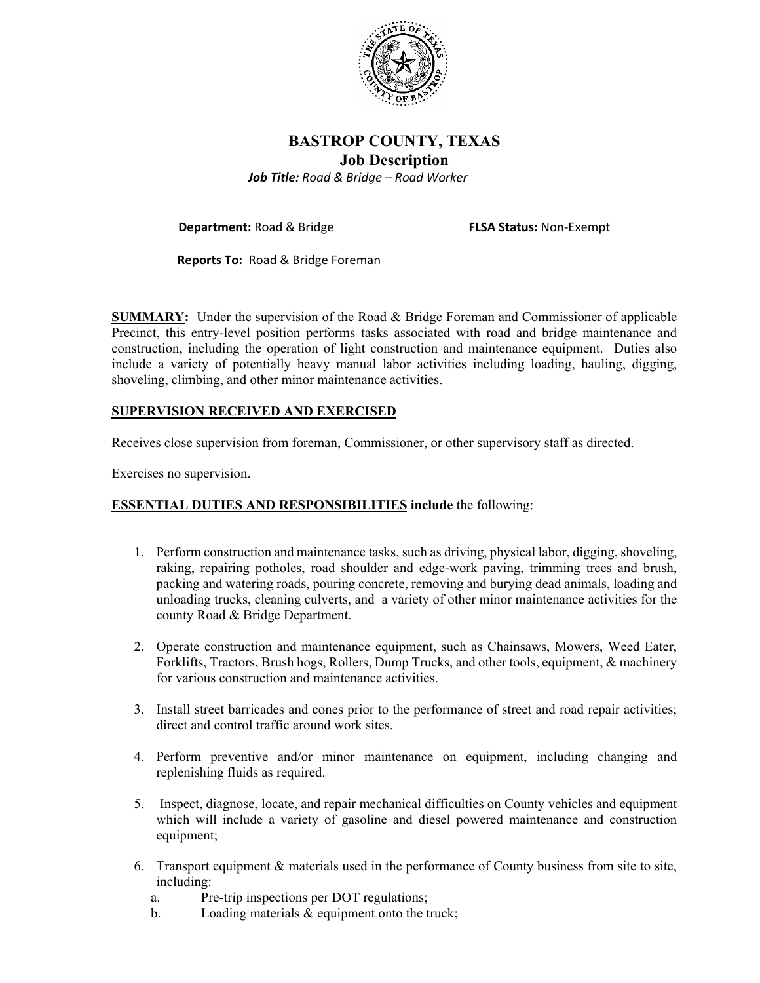

## **BASTROP COUNTY, TEXAS Job Description**  *Job Title: Road & Bridge – Road Worker*

**Department:** Road & Bridge **FLSA Status:** Non‐Exempt

 **Reports To:** Road & Bridge Foreman

**SUMMARY:** Under the supervision of the Road & Bridge Foreman and Commissioner of applicable Precinct, this entry-level position performs tasks associated with road and bridge maintenance and construction, including the operation of light construction and maintenance equipment. Duties also include a variety of potentially heavy manual labor activities including loading, hauling, digging, shoveling, climbing, and other minor maintenance activities.

## **SUPERVISION RECEIVED AND EXERCISED**

Receives close supervision from foreman, Commissioner, or other supervisory staff as directed.

Exercises no supervision.

### **ESSENTIAL DUTIES AND RESPONSIBILITIES include** the following:

- 1. Perform construction and maintenance tasks, such as driving, physical labor, digging, shoveling, raking, repairing potholes, road shoulder and edge-work paving, trimming trees and brush, packing and watering roads, pouring concrete, removing and burying dead animals, loading and unloading trucks, cleaning culverts, and a variety of other minor maintenance activities for the county Road & Bridge Department.
- 2. Operate construction and maintenance equipment, such as Chainsaws, Mowers, Weed Eater, Forklifts, Tractors, Brush hogs, Rollers, Dump Trucks, and other tools, equipment, & machinery for various construction and maintenance activities.
- 3. Install street barricades and cones prior to the performance of street and road repair activities; direct and control traffic around work sites.
- 4. Perform preventive and/or minor maintenance on equipment, including changing and replenishing fluids as required.
- 5. Inspect, diagnose, locate, and repair mechanical difficulties on County vehicles and equipment which will include a variety of gasoline and diesel powered maintenance and construction equipment;
- 6. Transport equipment & materials used in the performance of County business from site to site, including:
	- a. Pre-trip inspections per DOT regulations;
	- b. Loading materials & equipment onto the truck;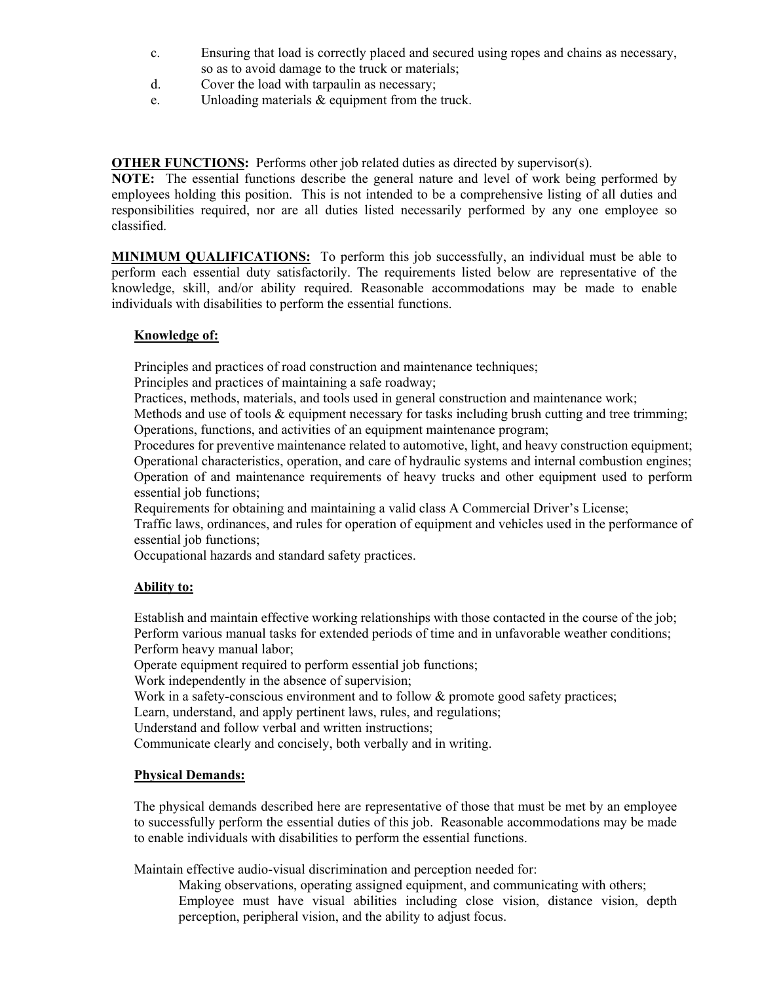- c. Ensuring that load is correctly placed and secured using ropes and chains as necessary, so as to avoid damage to the truck or materials;
- d. Cover the load with tarpaulin as necessary;
- e. Unloading materials & equipment from the truck.

**OTHER FUNCTIONS:** Performs other job related duties as directed by supervisor(s).

**NOTE:** The essential functions describe the general nature and level of work being performed by employees holding this position. This is not intended to be a comprehensive listing of all duties and responsibilities required, nor are all duties listed necessarily performed by any one employee so classified.

**MINIMUM QUALIFICATIONS:** To perform this job successfully, an individual must be able to perform each essential duty satisfactorily. The requirements listed below are representative of the knowledge, skill, and/or ability required. Reasonable accommodations may be made to enable individuals with disabilities to perform the essential functions.

### **Knowledge of:**

Principles and practices of road construction and maintenance techniques;

Principles and practices of maintaining a safe roadway;

Practices, methods, materials, and tools used in general construction and maintenance work;

Methods and use of tools  $\&$  equipment necessary for tasks including brush cutting and tree trimming; Operations, functions, and activities of an equipment maintenance program;

Procedures for preventive maintenance related to automotive, light, and heavy construction equipment; Operational characteristics, operation, and care of hydraulic systems and internal combustion engines; Operation of and maintenance requirements of heavy trucks and other equipment used to perform essential job functions;

Requirements for obtaining and maintaining a valid class A Commercial Driver's License;

Traffic laws, ordinances, and rules for operation of equipment and vehicles used in the performance of essential job functions;

Occupational hazards and standard safety practices.

## **Ability to:**

 Establish and maintain effective working relationships with those contacted in the course of the job; Perform various manual tasks for extended periods of time and in unfavorable weather conditions; Perform heavy manual labor;

Operate equipment required to perform essential job functions;

Work independently in the absence of supervision;

Work in a safety-conscious environment and to follow & promote good safety practices;

Learn, understand, and apply pertinent laws, rules, and regulations;

Understand and follow verbal and written instructions;

Communicate clearly and concisely, both verbally and in writing.

## **Physical Demands:**

The physical demands described here are representative of those that must be met by an employee to successfully perform the essential duties of this job. Reasonable accommodations may be made to enable individuals with disabilities to perform the essential functions.

Maintain effective audio-visual discrimination and perception needed for:

 Making observations, operating assigned equipment, and communicating with others; Employee must have visual abilities including close vision, distance vision, depth perception, peripheral vision, and the ability to adjust focus.